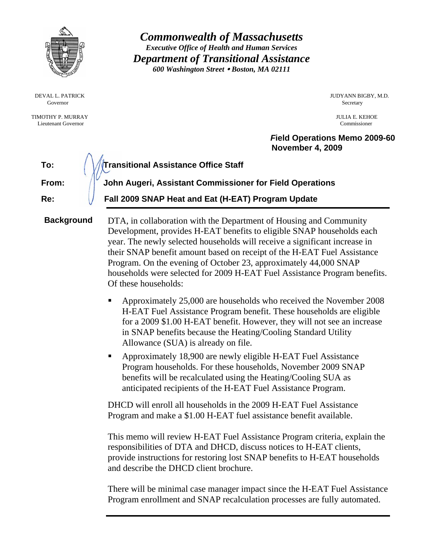

Governor Secretary Secretary Secretary Secretary Secretary Secretary Secretary Secretary Secretary Secretary Secretary Secretary Secretary Secretary Secretary Secretary Secretary Secretary Secretary Secretary Secretary Sec

 TIMOTHY P. MURRAY JULIA E. KEHOE Lieutenant Governor Commissioner

> $\sim$  $\overline{a}$

*Commonwealth of Massachusetts Executive Office of Health and Human Services Department of Transitional Assistance 600 Washington Street* y *Boston, MA 02111* 

DEVAL L. PATRICK JUDYANN BIGBY, M.D.

 *F***ield Operations Memo 2009-60 November 4, 2009** 

| To:   | Transitional Assistance Office Staff                     |
|-------|----------------------------------------------------------|
| From: | John Augeri, Assistant Commissioner for Field Operations |
| Re:   | Fall 2009 SNAP Heat and Eat (H-EAT) Program Update       |
|       |                                                          |

**Background** DTA, in collaboration with the Department of Housing and Community Development, provides H-EAT benefits to eligible SNAP households each year. The newly selected households will receive a significant increase in their SNAP benefit amount based on receipt of the H-EAT Fuel Assistance Program. On the evening of October 23, approximately 44,000 SNAP households were selected for 2009 H-EAT Fuel Assistance Program benefits. Of these households:

- Approximately 25,000 are households who received the November 2008 H-EAT Fuel Assistance Program benefit. These households are eligible for a 2009 \$1.00 H-EAT benefit. However, they will not see an increase in SNAP benefits because the Heating/Cooling Standard Utility Allowance (SUA) is already on file.
- Approximately 18,900 are newly eligible H-EAT Fuel Assistance Program households. For these households, November 2009 SNAP benefits will be recalculated using the Heating/Cooling SUA as anticipated recipients of the H-EAT Fuel Assistance Program.

DHCD will enroll all households in the 2009 H-EAT Fuel Assistance Program and make a \$1.00 H-EAT fuel assistance benefit available.

This memo will review H-EAT Fuel Assistance Program criteria, explain the responsibilities of DTA and DHCD, discuss notices to H-EAT clients, provide instructions for restoring lost SNAP benefits to H-EAT households and describe the DHCD client brochure.

There will be minimal case manager impact since the H-EAT Fuel Assistance Program enrollment and SNAP recalculation processes are fully automated.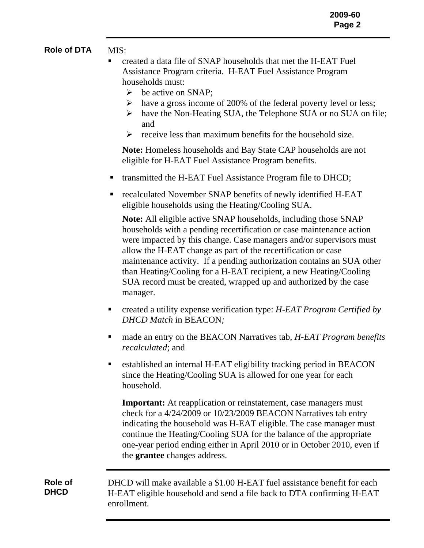## **Role of DTA** MIS:

- created a data file of SNAP households that met the H-EAT Fuel Assistance Program criteria. H-EAT Fuel Assistance Program households must:
	- $\triangleright$  be active on SNAP:
	- $\triangleright$  have a gross income of 200% of the federal poverty level or less;
	- ¾ have the Non-Heating SUA, the Telephone SUA or no SUA on file; and
	- $\triangleright$  receive less than maximum benefits for the household size.

**Note:** Homeless households and Bay State CAP households are not eligible for H-EAT Fuel Assistance Program benefits.

- transmitted the H-EAT Fuel Assistance Program file to DHCD;
- **F** recalculated November SNAP benefits of newly identified H-EAT eligible households using the Heating/Cooling SUA.

**Note:** All eligible active SNAP households, including those SNAP households with a pending recertification or case maintenance action were impacted by this change. Case managers and/or supervisors must allow the H-EAT change as part of the recertification or case maintenance activity. If a pending authorization contains an SUA other than Heating/Cooling for a H-EAT recipient, a new Heating/Cooling SUA record must be created, wrapped up and authorized by the case manager.

- created a utility expense verification type: *H-EAT Program Certified by DHCD Match* in BEACON*;*
- made an entry on the BEACON Narratives tab, *H-EAT Program benefits recalculated*; and
- established an internal H-EAT eligibility tracking period in BEACON since the Heating/Cooling SUA is allowed for one year for each household.

**Important:** At reapplication or reinstatement, case managers must check for a 4/24/2009 or 10/23/2009 BEACON Narratives tab entry indicating the household was H-EAT eligible. The case manager must continue the Heating/Cooling SUA for the balance of the appropriate one-year period ending either in April 2010 or in October 2010, even if the **grantee** changes address.

**Role of DHCD** 

DHCD will make available a \$1.00 H-EAT fuel assistance benefit for each H-EAT eligible household and send a file back to DTA confirming H-EAT enrollment.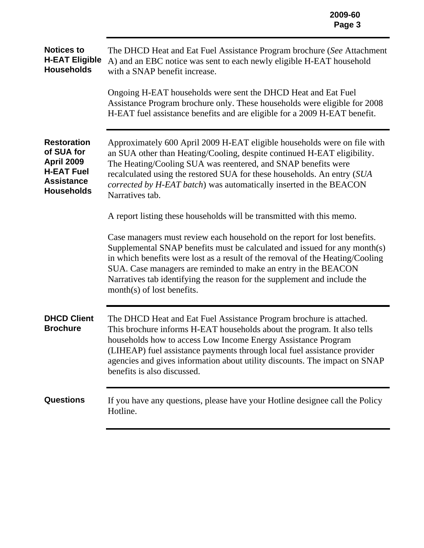| <b>Notices to</b><br><b>H-EAT Eligible</b><br><b>Households</b>                                                      | The DHCD Heat and Eat Fuel Assistance Program brochure (See Attachment<br>A) and an EBC notice was sent to each newly eligible H-EAT household<br>with a SNAP benefit increase.                                                                                                                                                                                                                                     |
|----------------------------------------------------------------------------------------------------------------------|---------------------------------------------------------------------------------------------------------------------------------------------------------------------------------------------------------------------------------------------------------------------------------------------------------------------------------------------------------------------------------------------------------------------|
|                                                                                                                      | Ongoing H-EAT households were sent the DHCD Heat and Eat Fuel<br>Assistance Program brochure only. These households were eligible for 2008<br>H-EAT fuel assistance benefits and are eligible for a 2009 H-EAT benefit.                                                                                                                                                                                             |
| <b>Restoration</b><br>of SUA for<br><b>April 2009</b><br><b>H-EAT Fuel</b><br><b>Assistance</b><br><b>Households</b> | Approximately 600 April 2009 H-EAT eligible households were on file with<br>an SUA other than Heating/Cooling, despite continued H-EAT eligibility.<br>The Heating/Cooling SUA was reentered, and SNAP benefits were<br>recalculated using the restored SUA for these households. An entry (SUA<br><i>corrected by H-EAT batch</i> ) was automatically inserted in the BEACON<br>Narratives tab.                    |
|                                                                                                                      | A report listing these households will be transmitted with this memo.                                                                                                                                                                                                                                                                                                                                               |
|                                                                                                                      | Case managers must review each household on the report for lost benefits.<br>Supplemental SNAP benefits must be calculated and issued for any month(s)<br>in which benefits were lost as a result of the removal of the Heating/Cooling<br>SUA. Case managers are reminded to make an entry in the BEACON<br>Narratives tab identifying the reason for the supplement and include the<br>month(s) of lost benefits. |
| <b>DHCD Client</b><br><b>Brochure</b>                                                                                | The DHCD Heat and Eat Fuel Assistance Program brochure is attached.<br>This brochure informs H-EAT households about the program. It also tells<br>households how to access Low Income Energy Assistance Program<br>(LIHEAP) fuel assistance payments through local fuel assistance provider<br>agencies and gives information about utility discounts. The impact on SNAP<br>benefits is also discussed.            |
| <b>Questions</b>                                                                                                     | If you have any questions, please have your Hotline designee call the Policy<br>Hotline.                                                                                                                                                                                                                                                                                                                            |
|                                                                                                                      |                                                                                                                                                                                                                                                                                                                                                                                                                     |